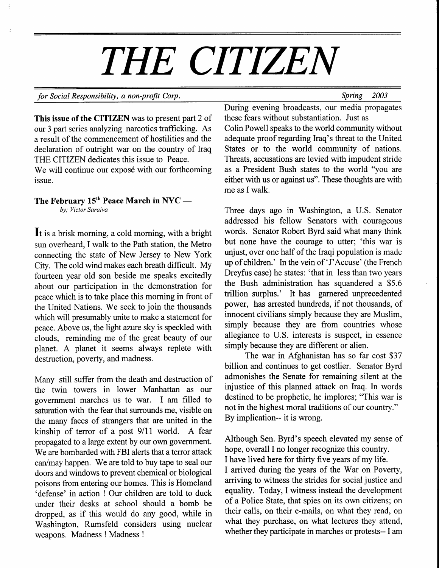# THE CITIZEN

#### for Social Responsibility, a non-profit Corp. Spring 2003

This issue of the CITIZEN was to present part 2 of our 3 part series analyzing narcotics trafficking. As a result of the commencement of hostilities and the declaration of outright war on the country of Iraq THE CITIZEN dedicates this issue to Peace.

We will continue our exposé with our forthcoming issue.

## The February 15<sup>th</sup> Peace March in NYC by; Victor Saraiva

It is a brisk morning, a cold morning, with a bright sun overheard, I walk to the Path station, the Metro connecting the state of New Jersey to New York City. The cold wind makes each breath difficult. My fourteen year old son beside me speaks excitedly about our participation in the demonstration for peace which is to take place this morning in front of the United Nations. We seek to join the thousands which will presumably unite to make a statement for peace. Above us, the light azwe sky is speckled with clouds, reminding me of the great beauty of our planet. A planet it seems always replete with destruction, poverty, and madness.

Many still suffer from the death and destruction of the twin towers in lower Manhattan as our government marches us to war. I am filled to saturation with the fear that surrounds me, visible on the many faces of strangers that are united in the kinship of terror of a post  $9/11$  world. A fear propagated to a large extent by our own government. We are bombarded with FBI alerts that a terror attack can/may happen. We are told to buy tape to seal our doors and windows to prevent chemical or biological poisons from entering our homes. This is Homeland 'defense' in action ! Our children are told to duck under their desks at school should a bomb be dropped, as if this would do any good, while in Washington, Rumsfeld considers using nuclear weapons. Madness ! Madness !

During evening broadcasts, our media propagates these fears without substantiation. Just as Colin Powell speaks to the world community without adequate proof regarding lraq's threat to the United States or to the world community of nations. Threats, accusations are levied with impudent stride as a President Bush states to the world "you are either with us or against us". These thoughts are with me as I walk.

Three days ago in Washington, a U.S. Senator addressed his fellow Senators with courageous words. Senator Robert Byrd said what many think but none have the courage to utter; 'this war is unjust, over one half of the Iraqi population is made up of children.' In the vein of 'J'Accuse' (the French Dreyfus case) he states: 'that in less than two years the Bush administration has squandered a \$5.6 trillion surplus.' It has garnered unprecedented power, has arrested hundreds, if not thousands, of innocent civilians simply because they are Muslim, simply because they are from countries whose allegiance to U.S. interests is suspect, in essence simply because they are different or alien.

The war in Afghanistan has so far cost \$37 billion and continues to get costlier. Senator Byrd admonishes the Senate for remaining silent at the injustice of this planned attack on Iraq. In words destined to be prophetic, he implores; "This war is not in the highest moral traditions of our country." By implication-- it is wrong.

Although Sen. Byrd's speech elevated my sense of hope, overall I no longer recognize this country. I have lived here for thirty five years of my life. I arrived during the years of the War on Poverty, arriving to witness the strides for social justice and equality. Today, I witness instead the development of a Police State, that spies on its own citizens; on their calls, on their e-mails, on what they read, on what they purchase, on what lectures they attend, whether they participate in marches or protests-- I am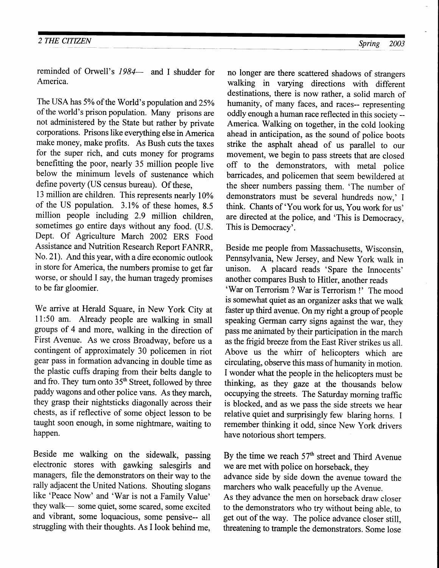reminded of Orwell's 1984- and I shudder for America.

The USA has 5% of the World's population and 25% of the world's prison population. Many prisons are not administered by the State but rather by private corporations. Prisons like everything else in America make money, make profits. As Bush cuts the taxes for the super rich, and cuts money for programs benefitting the poor, nearly 35 million people live below the minimum levels of sustenance which define poverty (US census bureau). Of these,

13 million are children. This represents nearly l0% of the US population. 3.1% of these homes, 8.5 million people including 2.9 million children, sometimes go entire days without any food. (U.S. Dept. Of Agriculture March 2002 ERS Food Assistance and Nutrition Research Report FANRR, No. 2l). And this year, with a dire economic outlook in store for America, the numbers promise to get far worse, or should I say, the human tragedy promises to be far gloomier.

We arrive at Herald Square, in New York City at 11:50 am. Already people are walking in small groups of 4 and more, walking in the direction of First Avenue. As we cross Broadway, before us a contingent of approximately 30 policemen in riot gear pass in formation advancing in double time as the plastic cuffs draping from their belts dangle to and fro. They turn onto 35<sup>th</sup> Street, followed by three paddy wagons and other police vans. As they march, they grasp their nightsticks diagonally across their chests, as if reflective of some object lesson to be taught soon enough, in some nightmare, waiting to happen.

Beside me walking on the sidewalk, passing By the time we reach  $57<sup>th</sup>$  street and Third Avenue electronic stores with gawking salesgirls and we are met with police on horseback, they managers, file the demonstrators on their way to the rally adjacent the United Nations. Shouting slogans like 'Peace Now' and 'War is not a Family Value' they walk— some quiet, some scared, some excited they walk— some quiet, some scared, some excited to the demonstrators who try without being able, to and vibrant, some loquacious, some pensive-- all get out of the way. The police advance closer still and vibrant, some loquacious, some pensive-- all get out of the way. The police advance closer still, struggling with their thoughts. As I look behind me, threatening to trample the demonstrators. Some lose

no longer are there scattered shadows of strangers walking in varying directions with different destinations, there is now rather, a solid march of humanity, of many faces, and races-- representing oddly enough a human race reflected in this society -- America. Walking on together, in the cold looking ahead in anticipation, as the sound of police boots strike the asphalt ahead of us parallel to our movement, we begin to pass streets that are closed off to the demonstrators, with metal police barricades, and policemen that seem bewildered at the sheer numbers passing them. 'The number of demonstrators must be several hundreds now,' I think. Chants of 'You work for us, You work for us' are directed at the police, and 'This is Democracy, This is Democracy'.

Beside me people from Massachusetts, Wisconsin, Pennsylvania, New Jersey, and New York walk in unison. A placard reads 'Spare the Innocents' unison. A placard reads 'Spare the Innocents' 'War on Terrorism ? War is Terrorism !' The mood is somewhat quiet as an organizer asks that we walk faster up third avenue. On my right a group of people speaking German carry signs against the war, they pass me animated by their participation in the march as the frigid breeze from the East River strikes us all. Above us the whirr of helicopters which are circulating, observe this mass of humanity in motion. I wonder what the people in the helicopters must be thinking, &S they gaze at the thousands below occupying the streets. The Saturday morning traffic is blocked, and as we pass the side streets we hear relative quiet and surprisingly few blaring horns. I remember thinking it odd, since New york drivers have notorious short tempers.

we are met with police on horseback, they<br>advance side by side down the avenue toward the marchers who walk peacefully up the Avenue.<br>As they advance the men on horseback draw closer threatening to trample the demonstrators. Some lose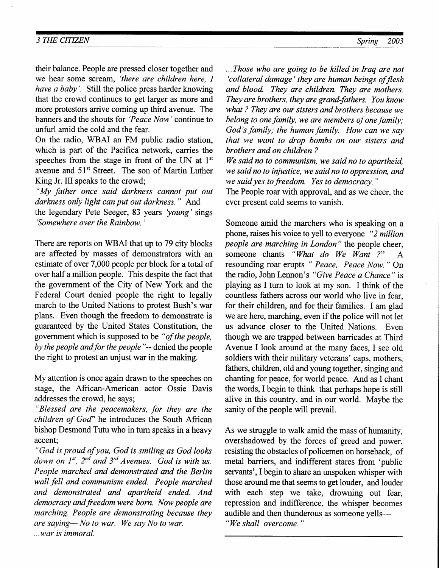#### 3 THE CITIZEN Spring 2003

their balance. People are pressed closer together and we hear some scream, 'there are children here, I have a baby'. Still the police press harder knowing that the crowd continues to get larger as more and more protestors arrive coming up third avenue. The banners and the shouts fot 'Peace Now 'continue to unfurl amid the cold and the fear.

On the radio, WBAI an FM public radio station, which is part of the Pacifica network, carries the speeches from the stage in front of the UN at  $1<sup>st</sup>$ avenue and 51<sup>st</sup> Street. The son of Martin Luther King Jr. III speaks to the crowd;

" My father once said darkness cannot put out darkness only light can put out darkness." And the legendary Pete Seeger, 83 years 'young' sings 'Somewhere over the Rainbow.'

There are reports on WBAI that up to 79 city blocks are affected by masses of demonstrators with an estimate of over 7,000 people per block for a total of over half a million people. This despite the fact that the government of the City of New York and the Federal Court denied people the right to legally march to the United Nations to protest Bush's war plans. Even though the freedom to demonstrate is guaranteed by the United States Constitution, the govemment which is supposed to be "of the people, by the people and for the people"-- denied the people the right to protest an unjust war in the making.

My attention is once again drawn to the speeches on stage, the African-American actor Ossie Davis addresses the crowd, he says;

" Blessed are the peacemakers, for they are the children of God" he introduces the South African bishop Desmond Tutu who in turn speaks in a heavy accent;

"God is proud of you, God is smiling as God looks down on  $1^{st}$ ,  $2^{nd}$  and  $3^{rd}$  Avenues. God is with us. People marched and demonstrated and the Berlin wall fell and communism ended. People marched and demonstroted and apartheid ended. And democracy and freedom were born. Now people are marching. People are demonstrating because they are saying- No to war. We say No to war. ...war is immoral.

...Those who are going to be killed in lraq are not 'collateral damage' they are human beings of flesh and blood. They are children. They are mothers. They are brothers, they are grand-fathers. You know what ? They are our sisters and brothers because we belong to one family, we are members of one family; God's family; the human family. How can we say that we want to drop bombs on our sisters and brothers and on children ?

We said no to communism, we said no to apartheid, we said no to injustice, we said no to oppression, and we said yes to freedom. Yes to democracy."

The People roar with approval, and as we cheer, the ever present cold seems to vanish.

Someone amid the marchers who is speaking on a phone, raises his voice to yell to everyone "2 million" people are marching in London" the people cheer, someone chants "What do We Want ?" A resounding roar erupts " Peace, Peace Now." On the radio, John Lennon's "Give Peace a Chance" is playing as I turn to look at my son. I think of the countless fathers across our world who live in fear, for their children, and for their families. I am glad we are here, marching, even if the police will not let us advance closer to the United Nations. Even though we are trapped between barricades at Third Avenue I look around at the many faces, I see old soldiers with their military veterans' caps, mothers, fathers, children, old and young together, singing and chanting for peace, for world peace. And as I chant the words, I begin to think that perhaps hope is still alive in this country, and in our world. Maybe the sanity of the people will prevail.

As we struggle to walk amid the mass of humanity, overshadowed by the forces of greed and power, resisting the obstacles of policemen on horseback, of metal barriers, and indifferent stares from 'public servants', I begin to share an unspoken whisper with those around me that seems to get louder, and louder with each step we take, drowning out fear, repression and indifference, the whisper becomes audible and then thunderous as someone yells-"We shall overcome."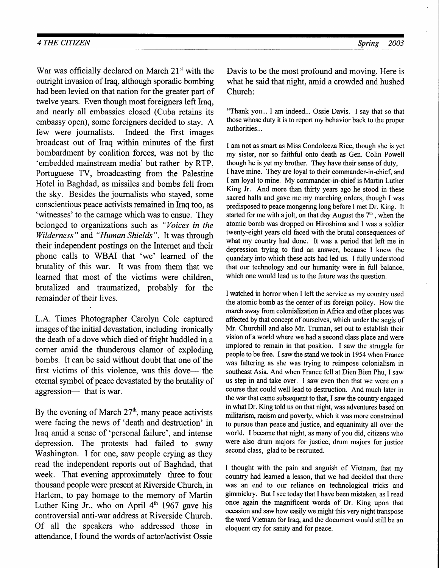War was officially declared on March 21<sup>st</sup> with the outright invasion of Iraq, although sporadic bombing had been levied on that nation for the greater part of twelve years. Even though most foreigners left lraq, and nearly all embassies closed (Cuba retains its embassy open), some foreigners decided to stay. A few were journalists. Indeed the first images broadcast out of Iraq within minutes of the first bombardment by coalition forces, was not by the 'embedded mainstream media' but rather by RTP, Portuguese TV, broadcasting from the Palestine Hotel in Baghdad, as missiles and bombs fell from the sky. Besides the journalists who stayed, some conscientious peace activists remained in Iraq too, as 'witnesses' to the carnage which was to ensue. They belonged to organizations such as "Voices in the Wilderness" and "Human Shields". It was through their independent postings on the Internet and their phone calls to WBAI that 'we' learned of the brutality of this war. It was from them that we learned that most of the victims were children, brutalized and traumatized, probably for the remainder of their lives.

L.A. Times Photographer Carolyn Cole captured images of the initial devastation, including ironically the death of a dove which died of fright huddled in a corner amid the thunderous clamor of exploding bombs. It can be said without doubt that one of the first victims of this violence, was this dove— the eternal symbol of peace devastated by the brutality of aggression— that is war.

By the evening of March  $27<sup>th</sup>$ , many peace activists were facing the news of 'death and destruction' in Iraq amid a sense of 'personal failure', and intense depression. The protests had failed to sway Washington. I for one, saw people crying as they read the independent reports out of Baghdad, that week. That evening approximately three to four thousand people were present at Riverside Church, in Harlem, to pay homage to the memory of Martin Luther King Jr., who on April  $4<sup>th</sup>$  1967 gave his controversial anti-war address at Riverside Church. Of all the speakers who addressed those in attendance. I found the words of actor/activist Ossie

Davis to be the most profound and moving. Here is what he said that night, amid a crowded and hushed Church:

"Thank you... I am indeed... Ossie Davis. I say that so that those whose duty it is to report my behavior back to the proper authorities...

I am not as smart as Miss Condoleeza Rice, though she is yet my sister, nor so faithful onto death as Gen. Colin Powell though he is yet my brother. They have their sense of duty, I have mine. They are loyal to their commander-in-chief, and I am loyal to mine. My commander-in-chief is Martin Luther King Jr. And more than thirty years ago he stood in these sacred halls and gave me my marching orders, though I was predisposed to peace mongering long before I met Dr. King. It started for me with a jolt, on that day August the  $7<sup>th</sup>$ , when the atomic bomb was dropped on Hiroshima and I was a soldier twenty-eight years old faced with the brutal consequences of what my country had done. It was a period that left me in depression trying to find an answer, because I knew the quandary into which these acts had led us. I fully understood that our technology and our humanity were in full balance, which one would lead us to the future was the question.

I watched in horror when I left the service as my country used the atomic bomb as the center of its foreign policy. How the march away from colonialization in Africa and other places was affected by that concept of ourselves, which under the aegis of Mr. Churchill and also Mr. Truman, set out to establish their vision of a world where we had a second class place and were implored to remain in that position. I saw the struggle for people to be free. I saw the stand we took in 1954 when France was faltering as she was trying to reimpose colonialism in southeast Asia. And when France fell at Dien Bien Phu, I saw us step in and take over. I saw even then that we were on a course that could well lead to destruction. And much later in the war that came subsequent to that, I saw the country engaged in what Dr. King told us on that night, was adventures based on militarism, racism and poverty, which it was more constrained to pursue than peace and justice, and equanimity all over the world. I became that night, as many of you did, citizens who were also drum majors for justice, drum majors for justice second class, glad to be recruited.

I thought with the pain and anguish of Vietnam, that my country had learned a lesson, that we had decided that there was an end to our reliance on technological tricks and gimmickry. But I see today that I have been mistaken, as I read once again the magnificent words of Dr. King upon that occasion and saw how easily we might this very night transpose the word Vietnam for lraq, and the document would still be an eloquent cry for sanity and for peace.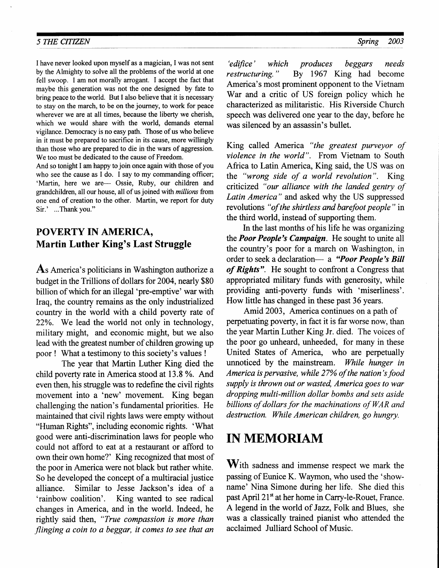#### 5 THE CITIZEN Spring 2003

I have never looked upon myself as a magician, I was not sent by the Almighty to solve all the problems of the world at one fell swoop. I am not morally arrogant. I accept the fact that maybe this generation was not the one designed by fate to bring peace to the world. But I also believe that it is necessary to stay on the march, to be on the journey, to work for peace wherever we are at all times, because the liberty we cherish, which we would share with the world, demands eternal vigilance. Democracy is no easy path. Those of us who believe in it must be prepared to sacrifice in its cause, more willingly than those who are prepared to die in the wars of aggression. We too must be dedicated to the cause of Freedom.

And so tonight I am happy to join once again with those of you who see the cause as I do. I say to my commanding officer; 'Martin, here we are- Ossie, Ruby, our children and grandchildren, all our house, all of us joined with millions from one end of creation to the other. Martin, we report for duty Sir.' ...Thank you."

# POVERTY IN AMERICA, Martin Luther King's Last Struggle

As America's politicians in Washington authorize a budget in the Trillions of dollars for 2004, nearly \$80 billion of which for an illegal 'pre-emptive' war with Iraq, the country remains as the only industrialized country in the world with a child poverty rate of 22%. We lead the world not only in technology, military might, and economic might, but we also lead with the greatest number of children growing up poor ! What a testimony to this society's values !

The year that Martin Luther King died the child poverty rate in America stood at 13.8 %. And even then, his struggle was to redefine the civil rights movement into a 'new' movement. King began challenging the nation's fundamental priorities. He maintained that civil rights laws were empty without "Human Rights", including economic rights. 'What good were anti-discrimination laws for people who could not afford to eat at a restaurant or afford to own their own home?' King recognized that most of the poor in America were not black but rather white. So he developed the concept of a multiracial justice alliance. Similar to Jesse Jackson's idea of a 'rainbow coalition'. King wanted to see radical changes in America, and in the world. Indeed, he rightly said then, "True compassion is more than flinging a coin to a beggar, it comes to see that an

'edifice' which produces beggars needs restructuring. " By 1967 King had become America's most prominent opponent to the Vietnam War and a critic of US foreign policy which he characterized as militaristic. His Riverside Church speech was delivered one year to the day, before he was silenced by an assassin's bullet.

King called America "the greatest purveyor of violence in the world". From Vietnam to South Africa to Latin America, King said, the US was on the "wrong side of a world revolution". King criticized "our alliance with the landed gentry of Latin America" and asked why the US suppressed revolutions "of the shirtless and barefoot people" in the third world, instead of supporting them.

In the last months of his life he was organizing the **Poor People's Campaign**. He sought to unite all the country's poor for a march on Washington, in order to seek a declaration- a "Poor People's Bill of Rights". He sought to confront a Congress that appropriated military funds with generosity, while providing anti-poverty funds with 'miserliness'. How little has changed in these past 36 years.

Amid 2003, America continues on a path of perpetuating poverty, in fact it is far worse now, than the year Martin Luther King Jr. died. The voices of the poor go unheard, unheeded, for many in these United States of America, who are perpetually unnoticed by the mainstream. While hunger in America is pervasive, while 27% of the nation's food supply is thrown out or wasted, America goes to war dropping multi-million dollar bombs and sets aside billions of dollars for the machinations of WAR and destruction. While American children, go hungry.

# IN MEMORIAM

 $W$ ith sadness and immense respect we mark the passing of Eunice K. Waymon, who used the 'showname' Nina Simone during her life. She died this past April 21<sup>st</sup> at her home in Carry-le-Rouet, France. A legend in the world of Jazz, Folk and Blues, she was a classically trained pianist who attended the acclaimed Julliard School of Music.